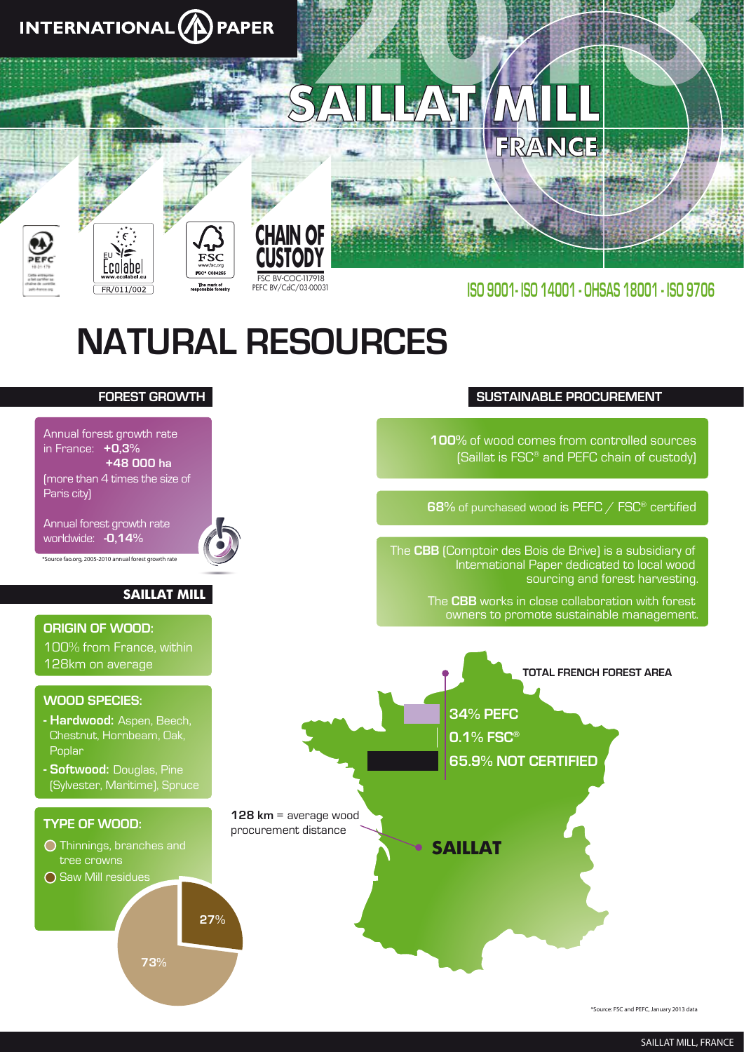

**27%**

**73%**

in France: **+0,3%**

Paris city)

**+48 000 ha**

**SAILLAT MILL**

(more than 4 times the size of

Annual forest growth rate worldwide: **-0,14%**

*\*Source fao.org, 2005-2010 annual forest growth rate*

**WOOD SPECIES:**

**ORIGIN OF WOOD:**

128km on average

Poplar

**- Hardwood:** Aspen, Beech, Chestnut, Hornbeam, Oak,

100% from France, within

**- Softwood:** Douglas, Pine (Sylvester, Maritime), Spruce

O Thinnings, branches and

tree crowns O Saw Mill residues

**TYPE OF WOOD:**

**100%** of wood comes from controlled sources (Saillat is FSC® and PEFC chain of custody)

**68%** of purchased wood is PEFC / FSC® certified

The **CBB** (Comptoir des Bois de Brive) is a subsidiary of International Paper dedicated to local wood sourcing and forest harvesting.

> The **CBB** works in close collaboration with forest owners to promote sustainable management.



*\*Source: FSC and PEFC, January 2013 data*

### *SAILLAT MILL, FRANCE*